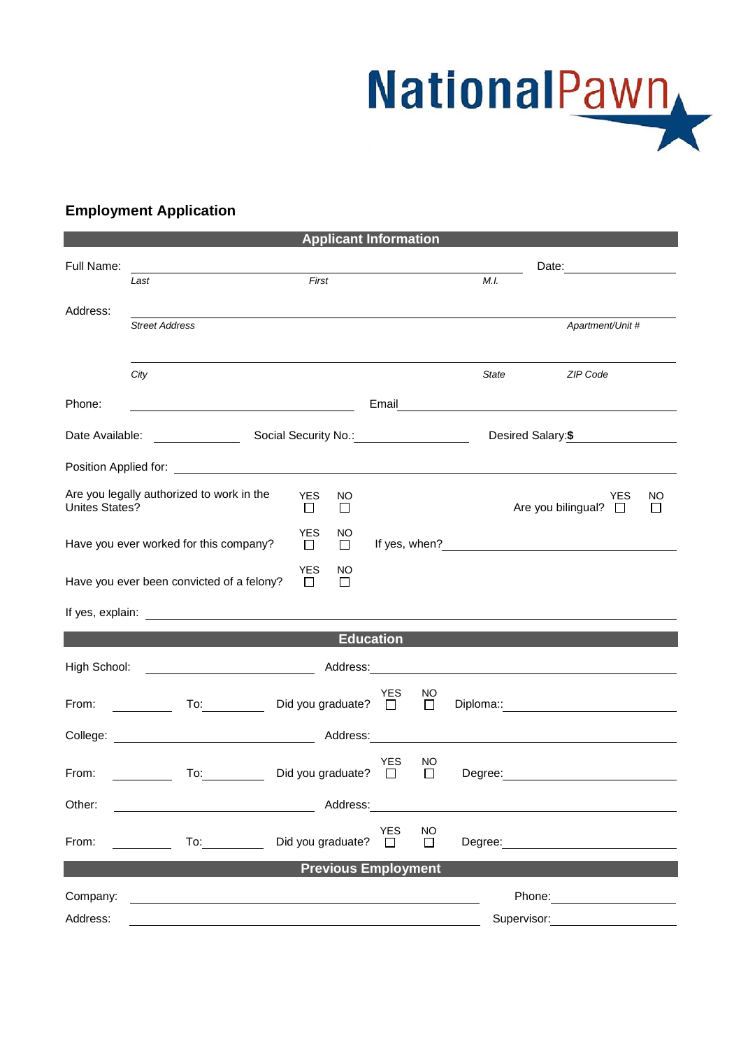NationalPawn

## **Employment Application**

|                       |                                                                                                                                                                                                                                      |                       | <b>Applicant Information</b>               |                            |                         |                       |                                                                                                                                                                                                                                |                      |
|-----------------------|--------------------------------------------------------------------------------------------------------------------------------------------------------------------------------------------------------------------------------------|-----------------------|--------------------------------------------|----------------------------|-------------------------|-----------------------|--------------------------------------------------------------------------------------------------------------------------------------------------------------------------------------------------------------------------------|----------------------|
| Full Name:            |                                                                                                                                                                                                                                      | First<br>M.I.<br>Last |                                            |                            |                         | Date: _______________ |                                                                                                                                                                                                                                |                      |
|                       |                                                                                                                                                                                                                                      |                       |                                            |                            |                         |                       |                                                                                                                                                                                                                                |                      |
| Address:              | <b>Street Address</b>                                                                                                                                                                                                                |                       |                                            |                            |                         |                       | Apartment/Unit #                                                                                                                                                                                                               |                      |
|                       |                                                                                                                                                                                                                                      |                       |                                            |                            |                         |                       |                                                                                                                                                                                                                                |                      |
|                       | City                                                                                                                                                                                                                                 |                       |                                            |                            |                         | State                 | ZIP Code                                                                                                                                                                                                                       |                      |
| Phone:                |                                                                                                                                                                                                                                      |                       |                                            |                            |                         |                       |                                                                                                                                                                                                                                |                      |
|                       |                                                                                                                                                                                                                                      |                       |                                            |                            |                         |                       | Desired Salary:\$                                                                                                                                                                                                              |                      |
|                       | Position Applied for: <u>contract the contract of the contract of the contract of the contract of the contract of the contract of the contract of the contract of the contract of the contract of the contract of the contract o</u> |                       |                                            |                            |                         |                       |                                                                                                                                                                                                                                |                      |
| <b>Unites States?</b> | Are you legally authorized to work in the                                                                                                                                                                                            |                       | <b>YES</b><br>NO<br>$\mathbf{L}$<br>$\Box$ |                            |                         |                       | YES<br>Are you bilingual? $\square$                                                                                                                                                                                            | NO<br>$\mathbb{R}^n$ |
|                       | Have you ever worked for this company?                                                                                                                                                                                               |                       | <b>YES</b><br>NO<br>$\Box$<br>$\Box$       |                            |                         |                       |                                                                                                                                                                                                                                |                      |
|                       | Have you ever been convicted of a felony?                                                                                                                                                                                            |                       | <b>YES</b><br>NO<br>$\Box$<br>$\perp$      |                            |                         |                       |                                                                                                                                                                                                                                |                      |
|                       |                                                                                                                                                                                                                                      |                       |                                            |                            |                         |                       |                                                                                                                                                                                                                                |                      |
|                       |                                                                                                                                                                                                                                      |                       |                                            | <b>Education</b>           |                         |                       |                                                                                                                                                                                                                                |                      |
| High School:          | Address: Address: Address: Address: Address: Address: Address: Address: Address: Address: Address: Address: Address: Address: Address: Address: Address: Address: Address: Address: Address: Address: Address: Address: Addres       |                       |                                            |                            |                         |                       |                                                                                                                                                                                                                                |                      |
|                       |                                                                                                                                                                                                                                      |                       |                                            |                            |                         |                       |                                                                                                                                                                                                                                |                      |
| From:                 | $\mathsf{To:}\qquad\qquad\qquad\qquad\qquad$                                                                                                                                                                                         |                       | Did you graduate? $\square$                | <b>YES</b>                 | <sub>NO</sub><br>$\Box$ |                       |                                                                                                                                                                                                                                |                      |
|                       |                                                                                                                                                                                                                                      |                       |                                            |                            |                         |                       |                                                                                                                                                                                                                                |                      |
| From:                 | To: $\qquad \qquad \qquad \qquad$                                                                                                                                                                                                    |                       | Did you graduate?                          | YES<br>$\Box$              | NO<br>$\Box$            | Degree:               |                                                                                                                                                                                                                                |                      |
| Other:                |                                                                                                                                                                                                                                      |                       | Address:                                   |                            |                         |                       |                                                                                                                                                                                                                                |                      |
| From:                 | To: $\qquad \qquad \qquad$                                                                                                                                                                                                           |                       | Did you graduate?                          | <b>YES</b><br>$\mathbf{L}$ | <b>NO</b><br>$\Box$     |                       | Degree: the contract of the contract of the contract of the contract of the contract of the contract of the contract of the contract of the contract of the contract of the contract of the contract of the contract of the co |                      |
|                       |                                                                                                                                                                                                                                      |                       | <b>Previous Employment</b>                 |                            |                         |                       |                                                                                                                                                                                                                                |                      |
| Company:              |                                                                                                                                                                                                                                      |                       |                                            |                            |                         |                       |                                                                                                                                                                                                                                |                      |
| Address:              |                                                                                                                                                                                                                                      |                       |                                            |                            |                         |                       | Supervisor:                                                                                                                                                                                                                    |                      |